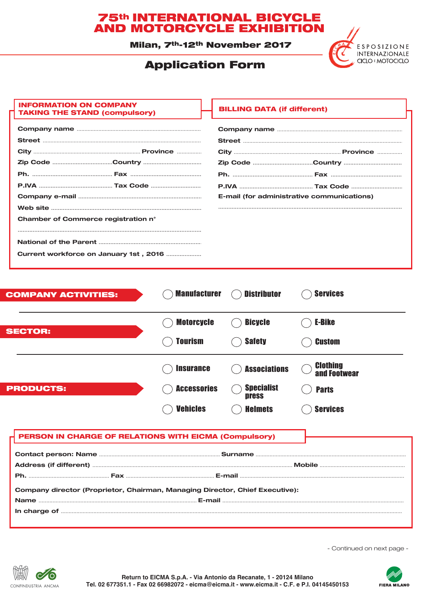# **75th INTERNATIONAL BICYCLE<br>AND MOTORCYCLE EXHIBITION**

Milan, 7th-12th November 2017

## **Application Form**



### **INFORMATION ON COMPANY TAKING THE STAND (compulsory)**

|                                        |  |  | <b>Zip Code Country </b>                   |
|----------------------------------------|--|--|--------------------------------------------|
|                                        |  |  |                                            |
|                                        |  |  |                                            |
|                                        |  |  | E-mail (for administrative communications) |
|                                        |  |  |                                            |
| Chamber of Commerce registration n°    |  |  |                                            |
|                                        |  |  |                                            |
|                                        |  |  |                                            |
| Current workforce on January 1st, 2016 |  |  |                                            |

| <b>COMPANY ACTIVITIES:</b> | <b>Manufacturer</b> | <b>Distributor</b>                | <b>Services</b>                 |
|----------------------------|---------------------|-----------------------------------|---------------------------------|
| <b>SECTOR:</b>             | <b>Motorcycle</b>   | <b>Bicycle</b>                    | <b>E-Bike</b>                   |
|                            | <b>Tourism</b>      | <b>Safety</b>                     | <b>Custom</b>                   |
|                            | <b>Insurance</b>    | <b>Associations</b>               | <b>Clothing</b><br>and Footwear |
| <b>PRODUCTS:</b>           | <b>Accessories</b>  | <b>Specialist</b><br><b>press</b> | <b>Parts</b>                    |
|                            | <b>Vehicles</b>     | <b>Helmets</b>                    | <b>Services</b>                 |

### PERSON IN CHARGE OF RELATIONS WITH EICMA (Compulsory)

| Company director (Proprietor, Chairman, Managing Director, Chief Executive): |  |
|------------------------------------------------------------------------------|--|

- Continued on next page -



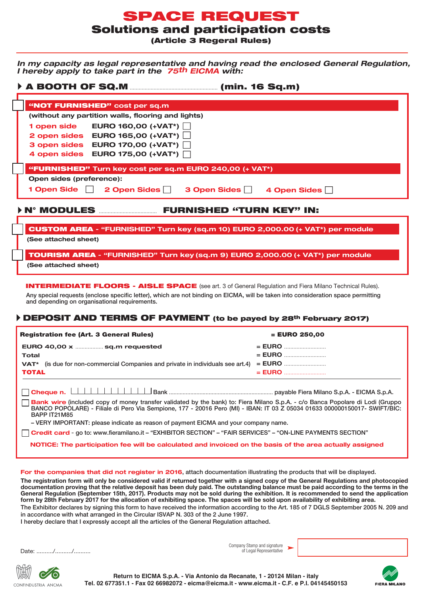## SPACE REQUEST

Solutions and participation costs

(Article 3 Regeral Rules)

*In my capacity as legal representative and having read the enclosed General Regulation, I hereby apply to take part in the 75th EICMA with:*

| "NOT FURNISHED" cost per sq.m                                                  |
|--------------------------------------------------------------------------------|
| (without any partition walls, flooring and lights)                             |
| 1 open side EURO 160,00 (+VAT*)                                                |
| 2 open sides EURO 165,00 $(+VAT^*)$                                            |
| 3 open sides EURO 170,00 (+VAT*)                                               |
| 4 open sides EURO 175,00 (+VAT*)                                               |
| "FURNISHED" Turn key cost per sq.m EURO 240,00 (+ VAT*)                        |
| Open sides (preference):                                                       |
| 1 Open Side   2 Open Sides   3 Open Sides   4 Open Sides                       |
| <b>&gt; N° MODULES</b><br><b>FURNISHED "TURN KEY" IN:</b>                      |
|                                                                                |
| CUSTOM AREA - "FURNISHED" Turn key (sq.m 10) EURO 2,000.00 (+ VAT*) per module |
| (See attached sheet)                                                           |

TOURISM AREA **- "FURNISHED" Turn key (sq.m 9) EURO 2,000.00 (+ VAT\*) per module** 

**(See attached sheet)**

INTERMEDIATE FLOORS - AISLE SPACE (see art. 3 of General Regulation and Fiera Milano Technical Rules). Any special requests (enclose specific letter), which are not binding on EICMA, will be taken into consideration space permitting and depending on organisational requirements.

### DEPOSIT AND TERMS OF PAYMENT (to be payed by 28th February 2017)

| <b>Registration fee (Art. 3 General Rules)</b>                                                                                         | $=$ EURO 250,00 |
|----------------------------------------------------------------------------------------------------------------------------------------|-----------------|
| EURO 40,00 x  sq.m requested                                                                                                           |                 |
| Total<br><b>VAT<sup>*</sup></b> (is due for non-commercial Companies and private in individuals see art.4)                             |                 |
| <b>TOTAL</b>                                                                                                                           |                 |
|                                                                                                                                        |                 |
| <b>Bank wire</b> (included copy of money transfer validated by the bank) to: Fiera Milano S.p.A. - c/o Banca Popolare di Lodi (Gruppo) |                 |

**Bank wire** (included copy of money transfer validated by the bank) to: Fiera Milano S.p.A. - c/o Banca Popolare di Lodi (Gruppo BANCO POPOLARE) - Filiale di Pero Via Sempione, 177 - 20016 Pero (MI) - IBAN: IT 03 Z 05034 01633 000000150017- SWIFT/BIC: BAPP IT21M85

– VERY IMPORTANT: please indicate as reason of payment EICMA and your company name.

**Credit card** - go to: www.fieramilano.it – "EXHIBITOR SECTION" – "FAIR SERVICES" – "ON-LINE PAYMENTS SECTION"

**NOTICE: The participation fee will be calculated and invoiced on the basis of the area actually assigned**

**For the companies that did not register in 2016**, attach documentation illustrating the products that will be displayed.

**The registration form will only be considered valid if returned together with a signed copy of the General Regulations and photocopied documentation proving that the relative deposit has been duly paid. The outstanding balance must be paid according to the terms in the General Regulation (September 15th, 2017). Products may not be sold during the exhibition. It is recommended to send the application form by 28th February 2017 for the allocation of exhibiting space. The spaces will be sold upon availability of exhibiting area.**

The Exhibitor declares by signing this form to have received the information according to the Art. 185 of 7 DGLS September 2005 N. 209 and in accordance with what arranged in the Circular ISVAP N. 303 of the 2 June 1997.

I hereby declare that I expressly accept all the articles of the General Regulation attached.

Date:  $/$  /

CONFINDUSTRIA ANCMA

Company Stamp and signature of Legal Representative



**Return to EICMA S.p.A. - Via Antonio da Recanate, 1 - 20124 Milan - italy Tel. 02 677351.1 - Fax 02 66982072 - eicma@eicma.it - www.eicma.it - C.F. e P.I. 04145450153**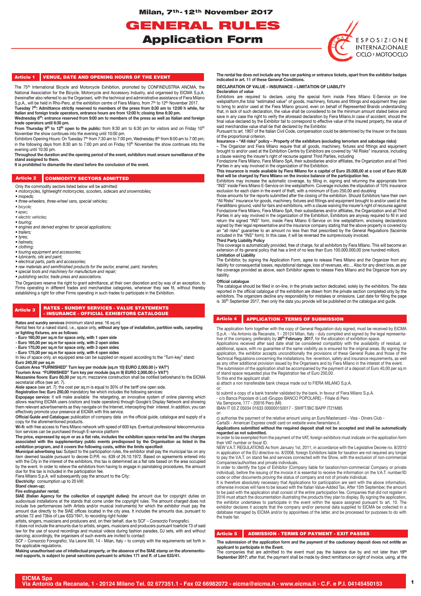Milan, 7th- 12th November 2017

GENERAL RULES Application Form



#### Article 1 VENUE, DATE AND OPENING HOURS OF THE EVENT

The 75<sup>th</sup> International Bicycle and Motorcycle Exhibition, promoted by CONFINDUSTRIA ANCMA, the National Association for the Bicycle, Motorcycle and Accessory Industry, and organised by EICMA S.p.A. (hereinafter also referred to as the Organiser), with the technical and administrative assistance of Fiera Milano S.p.A., will be held in Rho-Pero, at the exhibition centre of Fiera Milano, from 7<sup>th</sup> to 12<sup>th</sup> November 2017.

**Tuesday 7th: Admittance strictly reserved to members of the press from 8:30 am to 12:00 h while, for Italian and foreign trade operators, entrance hours are from 12:00 h; closing time 6:30 pm.** Wednesday 8<sup>th</sup>: entrance reserved from 9:00 am to members of the press as well as Italian and foreign

**trade operators until 6:30 pm.** From Thursday 9<sup>th</sup> to 12<sup>th</sup> open to the public: from 9:30 am to 6:30 pm for visitors and on Friday 10<sup>th</sup> November the show continues into the evening until 10:00 pm.

Exhibitors Opening Hours: On Tuesday 7<sup>th</sup> from 7:30 am to 7:00 pm, Wednesday 8<sup>th</sup> from 8:00 am to 7:00 pm; in the following days from 8:30 am to 7:00 pm and on Friday 10<sup>th</sup> November the show continues into the evening until 10:30 pm.

**Throughout the duration and the opening period of the event, exhibitors must ensure surveillance of the stand assigned to them.** 

**It is prohibited to dismantle the stand before the conclusion of the event.**

#### Article 2 COMMODITY SECTORS ADMITTED

- Only the commodity sectors listed below will be admitted:
- *motorcycles, lightweight motorcycles, scooters, sidecars and snowmobiles;*
- *mopeds; • three-wheelers, three-wheel vans, special vehicles;*
- *bicycle;*
- *epac;*
- *electric vehicles;*
- *touring;*
- *engines and derived engines for special applications;*
- *trailers;*
- *tyres;*
- *helmets;*
- *clothing;*
- *touring equipment and accessories; • lubricants, oils and paint;*
- *electrical parts, parts and accessories;*
- *raw materials and semifinished products for the sector, enamel, paint, transfers;*
- 
- *special tools and machinery for manufacture and repair; publishing sector, trade press and associations.*

The Organizers reserve the right to grant admittance, at their own discretion and by way of an exception, to Firms operating in different trades and merchandise categories, whenever they see fit, without thereby establishing a right for other Firms operating in such trades to participate in the Exhibition.

#### Article 3 RATES - SUNDRY SERVICES - VALUE STATEMENTS - INSURANCE - OFFICIAL EXHIBITORS CATALOGUE

**Rates and sundry services (minimum stand area: 16 sq.m)** 

Rental fees for a naked stand, i.e., space only, **without any type of installation, partition walls, carpeting or lighting fixtures, are as follows:**

**- Euro 160,00 per sq.m for space only, with 1 open side**

**- Euro 165,00 per sq.m for space only, with 2 open sides - Euro 170,00 per sq.m for space only, with 3 open sides**

**- Euro 175,00 per sq.m for space only, with 4 open sides**

In lieu of space only, an equipped area can be supplied on request according to the "Turn-key" stand: **Euro 240,00 per sq.m**

Custom Area "FURNISHED" Turn key per module (sq.m 10) EURO 2,000.00 (+ VAT\*)<br>Tourism Area "FURNISHED" Turn key per module (sq.m 9) EURO 2,000.00 (+ VAT\*)<br>Mezzanine floors: Euro 80,00 per sq.m; mezzanine construction shall secretarial office (see art. 7).

**Aisle space** (see art. 7): the cost per sq.m is equal to 30% of the tariff one open side.

Registration fee: Euro 250,00 mandatory fee which includes the following services:<br>Expopage service: it will make available the retargeting, an innovative system of online planning which<br>allows reaching EICMA users (visito

**Official Guide and Catalogue:** publication of company data on the official guide, catalogue and supply of a copy for the aforementioned products.

**Wi-fi:** with free access to Fiera Milano network with speed of 600 kps. Eventual professional telecommunica-

tion services can be purchased through E-service platform<br>The price, expressed by sq.m or as a flat rate, includes the exhibition space rental fee and the charges<br>associated with the supplementary public events predisposed

**Municipal advertising tax:** Subject to the participation rules, the exhibitor shall pay the municipal tax on any item deemed taxable pursuant to decree D.P.R. no. 639 of 26.10.1972. Based on agreements entered into<br>with the City in the interest of the exhibitors, this tax is determined as a flat rate based on the area occupied by the event. In order to relieve the exhibitors from having to engage in painstaking procedures, the amount due for this tax is included in the participation fee.

Fiera Milano S.p.A. will subsequently pay the amount to the City; **Electricity:** consumption up to 20 kW;

**Stand clean-up; Fire extinguisher rental;**

**SIAE (Italian Agency for the collection of copyright duties):** the amount due for copyright duties on audiovisual installations at the stands that come under the copyright rules. The amount charged does not include live performances (with Artists and/or musical instruments) for which the exhibitor must pay the amount due directly to the SIAE offices located in the city area. It includes the amounts due, pursuant to articles 72 and 73bis of Law 633/1941, to recording right holder

artists, singers, musicians and producers and, on their behalf, due to SCF – Consorzio Fonografici.

It does not include the amounts due to artists, singers, musicians and producers pursuant toarticle 73 of said law for the use of sound recordings and musical videos during fashion parades, DJ sets, with and without dancing; accordingly, the organisers of such events are invited to contact SCF – Consorzio Fonografici, Via Leone XIII, 14 - Milan, Italy – to comply with the requirements set forth in

the applicable regulations.

**Making unauthorised use of intellectual property, or the absence of the SIAE stamp on the aforementio-ned supports, is subject to penal sanctions pursuant to articles 171 and ff. of Law 633/41.**

**The rental fee does not include any free car parking or entrance tickets, apart from the exhibitor badges indicated in art. 11 of these General Conditions.**

**DECLARATION OF VALUE – INSURANCE – LIMITATION OF LIABILITY Declaration of value**

Exhibitors are required to declare, using the special form inside Fiera Milano E-Service on line webplatform,the total "estimated value" of goods, machinery, fixtures and fittings and equipment they plan to bring to and/or used at the Fiera Milano ground, even on behalf of Represented Brands understanding that, in lack of such declaration, the value shall be considered to be the minimum amount stated below and save in any case the right to verify the aforesaid declaration by Fiera Milano.In case of accident, should the<br>final value declared by the Exhibitor fail to correspond to effective value of the insured property, the value said merchandise value shall be that declared by the Exhibitor.

Pursuant to art. 1907 of the Italian Civil Code, compensation could be determined by the Insurer on the basis

### of the proportional criterion. **Insurance – "All risks" policy – Property of the exhibitors (excluding terrorism and sabotage risks)**

– The Organizer and Fiera Milano require that all goods, machinery, fixtures and fittings and equipment brought to and/or used at the Exhibition Centre by Exhibitors are covered by "All Risks" insurance, including a clause waiving the insurer's right of recourse against Third Parties, including Fondazione Fiera Milano, Fiera Milano SpA, their subsidiaries and/or affiliates, the Organization and all Third

Parties in any way involved in the organization of the Exhibition. **This insurance is made available by Fiera Milano for a capital of Euro 25.000,00 at a cost of Euro 95,00** 

that will be charged by Fiera Milano on the invoice balance of the participation fee.<br>Exhibitors may increase the automatic coverage, by filling in, signing and returning the appropriate form<br>"INS" inside Fiera Milano E-Se

those amounts for the reports submitted after the closing of the exhibition. Should Exhibitors have their own "All Risks" insurance for goods, machinery, fixtures and fittings and equipment brought to and/or used at the FieraMilano ground, valid for fairs and exhibitions, with a clause waiving the insurer's right of recourse against<br>Fondazione Fiera Milano, Fiera Milano SpA, their subsidiaries and/or affiliates, the Organization and all T Parties in any way involved in the organization of the Exhibition, Exhibitors are anyway required to fill in and return the signed "INS" form, inside Fiera Milano E-Service on line webplatform, enclosing declarations signed by their legal representative and the insurance company stating that the above property is covered by an "all risks" guarantee to an amount no less than that prescribed by the General Regulations (facsimile included in the "INS" form). In this case, it will be reversed the sumpreviously invoiced.

**Third Party Liability Policy** This coverage is automatically provided, free of charge, for all exhibitors by Fiera Milano. This will become an extension of its general policy that has a limit of no less than Euro 100.000.000,00 (one hundred million). **Limitation of Liability**

The Exhibitor, by signing the Application Form, agree to release Fiera Milano and the Organizer from any liability for consequential losses, reputational damage, loss of revenues, etc… Also for any direct loss, as per the coverage provided as above, each Exhibitor agrees to release Fiera Milano and the Organizer from any liability.

### **Official catalogue**

The catalogue should be filled in on-line, in the private section dedicated, solely by the exhibitors. The data reported in the official catalogue of the exhibition are drawn from the private section completed only by the exhibitors. The organizers decline any responsibility for mistakes or omissions. Last date for filling the page is 30<sup>th</sup> September 2017, then only the data you provide will be published on the catalogue and guide.

#### Article 4 APPLICATION - TERMS OF SUBMISSION

The application form together with the copy of General Regulation duly signed, must be received by EICMA<br>S.p.A. - Via Antonio da Recanate, 1 - 20124 Milan, Italy - duly compiled and signed by the legal representa-<br>tive of

additional, space, with no guarantee of the same visibility as is ensured for the original areas. By signing the application, the exhibitor accepts unconditionally the provisions of these General Rules and those of the Technical Regulations concerning the installations, fire revention, safety and insurance requirements, as well as any other additional provision issued by the Organisers and by Fiera Milano in the interest of the event. The submission of the application shall be accompanied by the payment of a deposit of Euro 40,00 per sq.m

of stand space requested plus the Registration fee of Euro 250,00.

To this end the applicant shall: a) attach a non transferable bank cheque made out to FIERA MILANO S.p.A.

or:

b) submit a copy of a bank transfer validated by the bank, in favour of Fiera Milano S.p.A.<br>- c/o Banca Popolare di Lodi (Gruppo BANCO POPOLARE) - Filiale di Pero<br>Via Sempione, 177 - 20016 Pero (MI)

IBAN IT 03 Z 05034 01633 000000150017 - SWIFT/BIC BAPP IT21M85

or:<br>c) authorise the payment of the relative amount using an Euro/Mastercard - Visa - Diners Club -<br>CartaSi - American Express credit card on website www.fieramilano.it.<br>**Applications submitted without the required deposit regarded as not submitted.**

In order to be exempted from the payment of the VAT, foreign exhibitors must indicate on the application form their VAT number or fiscal ID.

NEW V.A.T. REGULATIONS As from January 1st, 2011, in accordance with the Legislative Decree no. 8/2010 in application of the EU directive no. 8/2008, foreign Exhibitors liable for taxation are not required any longer to pay the V.A.T. on stand fee and services connected with the Show, with the exclusion of non-commercial Companies/authorities and private individuals. In order to identify the type of Exhibitor (Company liable for taxation/non-commercial Company or private

individual), before the issuing of the invoice it is essential to receive the information on the V.A.T. number/ID

code or other documents proving the status of company and not of private individual.<br>It is therefore absolutely necessary that Applications for participation are sent with the above information,<br>otherwise invoices will hav to be paid with the application shall consist of the entire participation fee. Companies that did not register in 2016 must attach the documentation illustrating the products they plan to display. By signing the application, the exhibitor undertakes to participate in the event within the space assigned pursuant to art. 10. The exhibitor declares it accepts that the company and/or personal data supplied to EICMA be collected in a database managed by EICMA and/or by appointees of the latter, and be processed for purposes to do with the trade fair.

#### ADMISSION - TERMS OF PAYMENT - EXIT PASSES Article 5

**The submission of the application form and the payment of the cautionary deposit does not entitle an applicant to participate in the Event.** The compart that compare the compart of the event must pay the balance due by and not later than **15<sup>th</sup> September 2017**; after that, the payment shall be made by direct remittance on sight of invoice, using, at the

**EICMA Spa**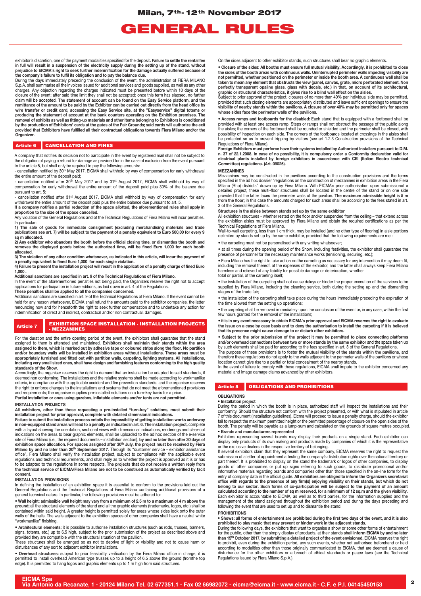## GENERAL RULES

exhibitor's discretion, one of the payment modalities specified for the deposit**. Failure to settle the rental fee in full will result in a suspension of the electricity supply during the setting up of the stand, without prejudice to EICMA's right to seek further indemnification for the damage actually suffered because of** 

the company's failure to fulfil its obligation and to pay the balance due.<br>During the days immediately preceding the conclusion of the event, the administration of FIERA MILANO<br>S.p.A. shall summarise all the invoices issue claim will be accepted. The statement of account can be found on the Easy Service platform, and the<br>remittance of the amount to be paid by the Exhibitor can be carried out directly from the head office by<br>wire transfer or **producing the statement of account at the bank counters operating on the Exhibition premises. The removal of exhibits as well as fitting-up materials and other items belonging to Exhibitors is conditioned by the production of Exhibitors' cards at the gates of the Fair Grounds; said cards will authorize the exit provided that Exhibitors have fulfilled all their contractual obligations towards Fiera Milano and/or the Organizer.**

#### Article 6 CANCELLATION AND FINES

A company that notifies its decision not to participate in the event by registered mail shall not be subject to the obligation of paying a refund for damage as provided for in the case of exclusion from the event pursuant

to the article 5, but shall only be required to pay the following amounts:<br>- cancellation notified by 30th May 2017, EICMA shall withhold by way of compensation for early withdrawal

the entire amount of the deposit paid;<br>- cancellation notified after 30th May 2017 and by 31st August 2017, EICMA shall withhold by way of compensation for early withdrawal the entire amount of the deposit paid plus 30% of the balance due pursuant to art. 5;

- cancellation notified after 31st August 2017, EICMA shall withhold by way of compensation for early withdrawal the entire amount of the deposit paid plus the entire balance due pursuant to art. 5.

**If a company notifies a partial reduction of the space allotted, the aforementioned rules shall apply in proportion to the size of the space cancelled.**

Any violation of the General Regulations and of the Technical Regulations of Fiera Milano will incur penalties. In particular:

**1) The sale of goods for immediate consignment (excluding merchandising materials and trade publications see art. 7) will be subject to the payment of a penalty equivalent to Euro 500,00 for every 9 sq m allocated.**

**2) Any exhibitor who abandons the booth before the official closing time, or dismantles the booth and removes the displayed goods before the authorized time, will be fined Euro 1,000 for each booth allocated.**

**3) The violation of any other condition whatsoever, as indicated in this article, will incur the payment of** 

**a penalty equivalent to fined Euro 1,000 for each single violation. 4) Failure to present the installation project will result in the application of a penalty charge of fined Euro 1,000 .**

**Additional sanctions are specified in art. 9 of the Technical Regulations of Fiera Milano.**

In the event of the aforementioned penalties not being paid, the Organizers reserve the right not to accept<br>applications for participation in future editions, as laid down in art. 4 of the Regulations.

**These penalties shall be applied to all the companies concerned.**

Additional sanctions are specified in art. 9 of the Technical Regulations of Fiera Milano. If the event cannot be held for any reason whatsoever, EICMA shall refund the amounts paid to the exhibitor companies, the latter renouncing now and for henceforth the right to seek further compensation and to undertake any action for indemnification of direct and indirect, contractual and/or non contractual, damages.

#### Article 7 EXHIBITION SPACE INSTALLATION - INSTALLATION PROJECTS - MEZZANINES

For the duration and the entire opening period of the event, the exhibitors shall guarantee that the stand assigned to them is attended and maintained. **Exhibitors shall maintain their stands within the area assigned to them, which is marked out by adhesive tape or coloured strips along the floor. No partition**  and/or boundary walls will be installed in exhibition areas without installations. These areas must be<br>appropriately furnished and fitted out with partition walls, carpeting, lighting systems. All installations,<br>including

Accordingly, the organiser reserves the right to demand that an installation be adapted to said standards, if deemed non conforming. The installations and the relative systems shall be made according to workmanlike criteria, in compliance with the applicable accident and fire prevention standards, and the organiser reserves the right to enforce changes to the installations and systems that do not meet the aforementioned provisions and requirements; the organiser supplies pre-installed solutions on a turn-key basis for a price.

**Partial installation or ones using gazebos, inflatable elements and/or tents are not permitted.**

#### **INSTALLATION PROJECTS**

**All exhibitors, other than those requesting a pre-installed "turn-key" solutions, must submit their** 

**installation project for prior approval, complete with detailed dimensional indications. Failure to submit the installation process entails the impossibility of getting installation works underway**  in non-equipped stand areas will lead to a penalty as indicated in art. 6. The installation project, complete<br>with a layout showing the orientation, sectional views with dimensional indications, renderings and clear-cut indications on the areas to bear graphic elements, shall be uploaded to the ad hoc section of the e-service<br>site of Fiera Milano (i.e., the required documents – installation section), **by and no later than after 30 days of** exhibition space allocation. For spaces assigned after 30<sup>th</sup> July, the project must be received by Fiera<br>Milano by and no later than 20<sup>th</sup> September 2017. Through its "customer service - exhibitor assistance office", Fiera Milano shall verify the installation project, subject to compliance with the applicable event regulations and technical requirements, and shall reply as to whether the project is approved as it is or has to be adapted to the regulations in some respects. **The projects that do not receive a written reply from the technical service of EICMA/Fiera Milano are not to be construed as automatically verified by tacit consent.**

#### **INSTALLATION PROVISIONS**

In defining the installation of an exhibition space it is essential to conform to the provisions laid out the General Regulations and the Technical Regulations of Fiera Milano containing additional provisions of a general technical nature. In particular, the following provisions must be adhered to:

• **Wall height: admissible wall height may vary from a minimum of 2.5 m to a maximum of 4 m above the**  ground; all the structural elements of the stand and all the graphic elements (trademarks, logos, etc.) shall be<br>contained within said height. A greater height is permitted solely for areas whose sides look onto the outer walls of the halls. The walls adjacent to the exhibition spaces of other companies shall have a neutral white "workmanlike" finishing.

● Architectural elements: it is possible to authorise installation structures (such as rods, trusses, banners,<br>signs, totems, etc.) up to 6.5 high, subject to the prior submission of the project as described above and<br>pro

These structures shall be arranged so as not to deprive of light or visibility and not to cause harm or disturbances of any sort to adjacent exhibitor installations.

• **Overhead structures:** subject to prior feasibility verification by the Fiera Milano office in charge, it is permitted to install overhead American type trusses up to a height of 6.5 above the ground (fromthe top edge). It is permitted to hang logos and graphic elements up to 1 m high from said structures.

On the sides adjacent to other exhibitor stands, such structures shall bear no graphic elements.

• **Closure of the sides: All booths must ensure full mutual visibility. Accordingly, it is prohibited to close**  the sides of the booth areas with continuous walls. Uninterrupted perimeter walls impeding visibility are<br>not permitted, whether positioned on the perimeter or inside the booth area. A continuous wall shall be **taken to mean any element that obstructs the view (panel, canvas, grate, micro perforated element. Non perfectly transparent opaline glass, glass with decals, etc.) in that, on account of its architectural,** 

**graphic or structural characteristics, it gives rise to a blind wall effect on the aisles.** Subject to prior approval of the project, closures of no more than 40% per individual side may be permitted, provided that such closing elements are appropriately distributed and leave sufficient openings to ensure the<br>visibility of nearby stands within the pavilions. A closure of over 40% may be permitted only for spaces<br>whose s

• **Access ramps and footboards for the disabled:** Each stand that is equipped with a footboard shall be provided with at least one access ramp. Steps or ramps shall not obstruct the passage of the public along the aisles; the corners of the footboard shall be rounded or shielded and the perimeter shall be closed, with possibility of inspection on each side. The corners of the footboards located at crossings in the aisles shall be protected so as to prevent tripping by visitors (see art 1.2.3 Construction provisions of the Technical Regulations of Fiera Milano).

Foreign Exhibitors must perforce have their systems installed by Authorized Installers pursuant to D.M.<br>n. 37 of 22.1.2008. In case of no possibility, it is compulsory order a Conformity declaration valid for<br>electrical pl **Committee) regulations. (Art. 09025).**

#### **MEZZANINES**

Mezzanines may be constructed in the pavilions according to the construction provisions and the terms specified in the ad hoc dossier "regulations on the construction of mezzanines in exhibition areas in the Fiera Milano (Rho) districts" drawn up by Fiera Milano. With EICMA's prior authorisation upon submissionof a detailed project, these multi-floor structures shall be located in the centre of the stand or on one side provided that the latter faces the perimeter walls of the pavilion. **The maximum admissible height is 5 m**<br>**from the floor;** in this case the amounts charged for such areas shall be according to the fees stated in art. 3 of the General Regulations.

Structures in the aisles between stands set up by the same exhibitor<br>All exhibition structures - whether rested on the floor and/or suspended from the ceiling – that extend across<br>the exhibition aisles must be approved by Technical Regulations of Fiera Milano. Wall-to-wall carpeting, less than 1 cm thick, may be installed (and no other type of flooring) in aisle portions

delimited by stands set up by the same exhibitor, provided that the following requirements are met:

• the carpeting must not be personalised with any writing whatsoever;

• at all times during the opening period of the Show, including festivities, the exhibitor shall guarantee the presence of personnel for the necessary maintenance works (tensioning, securing, etc.);

• Fiera Milano has the right to take action on the carpeting as necessary for any intervention it may deem fit, including the removal thereof, at the expenses of the exhibitor, and the latter shall always keep Fiera Milano harmless and relieved of any liability for possible damage or deterioration, whether total or partial, of the carpeting itself;

• the installation of the carpeting shall not cause delays or hinder the proper execution of the services to be supplied by Fiera Milano, including the cleaning service, both during the setting up and the dismantling stages of the trade fair;

• the installation of the carpeting shall take place during the hours immediately preceding the expiration of the time allowed from the setting up operations;

• the carpeting shall be removed immediately upon the conclusion of the event or, in any case, within the first few hours granted for the removal of the installations:

● it is in any event necessary to obtain EICMA's prior approval and EICMA reserves the right to evaluate<br>the issue on a case by case basis and to deny the authorisation to install the carpeting if it is believed<br>that its

• **Subject to the prior submission of the project it may be permitted to place connecting platforms**  and/or overhead connections between two or more stands by the same exhibitor and the space taken up<br>by such elements shall be paid for according to the fees specified in art. 3 of the General Regulations.<br>The purpose of th

therefore these regulations do not apply to the walls adjacent to the perimeter walls of the pavilions or whose location cannot give rise to a partial or total concealment of the nearby stands.

In the event of failure to comply with these regulations, EICMA shall impute to the exhibitor concerned any material and image damage claims advanced by other exhibitors.

#### Article 8 | OBLIGATIONS AND PROHIBITIONS

#### **OBLIGATIONS**

• **Installation project**

During the period in which the booth is in place, authorized staff will inspect the installations and their conformity. Should the structure not conform with the project presented, or with what is stipulated in article 7 of this document (installation guidelines), Eicma will proceed to issue a penalty charge, should the exhibitor fail to respect the maximum permitted height or the permitted percentage of closure on the open sides of the booth. The penalty will be payable as a lump-sum and calculated on the grounds of square metres occupied. • **Brands and manufacturers represented**

Exhibitors representing several brands may display their products on a single stand. Each exhibitor can display only products of its own making and products made by companies of which it is the representative or the exclusive dealers in the respective territory of belonging.

If several exhibitors claim that they represent the same company, EICMA reserves the right to request the submission of a letter of appointment attesting the company's distribution rights over the national territory or par entry of company data in the official guide. All exhibitors are obliged to inform the Organizers secretariat<br>office with regards to the presence of any firm(s) enjoying visibility on their stands, but which do not<br>belong t following the event that are used to set up and to dismantle the stand.

#### **PROHIBITIONS**

• **Shows: all forms of entertainment are prohibited during the first two days of the event, and it is also prohibited to play music that may prevent or hinder work in the adjacent stands.**<br>During the following days, the exhibitors that want to organise a show or some other forms of entertainment

for the public, other than the simply display of products, at their stands **shall inform EICMA by and no later**<br>t**han 15<sup>th</sup> October 2017, by submitting a detailed project of the event envisioned. EICMA reserves the right<br>** according to modalities other than those originally communicated to EICMA, that are deemed a cause of disturbance for the other exhibitors or a breach of ethical standards or peace laws (see the Technical Regulations issued by Fiera Milano S.p.A.).